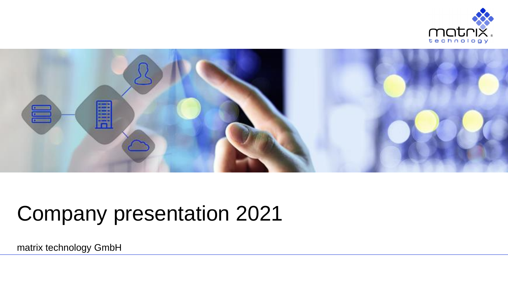



## Company presentation 2021

matrix technology GmbH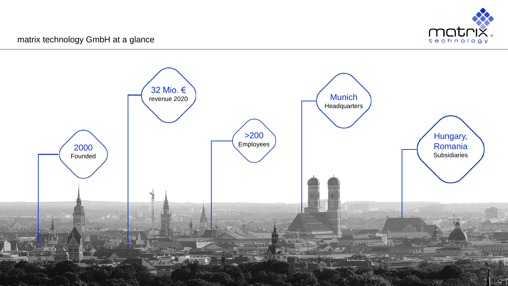

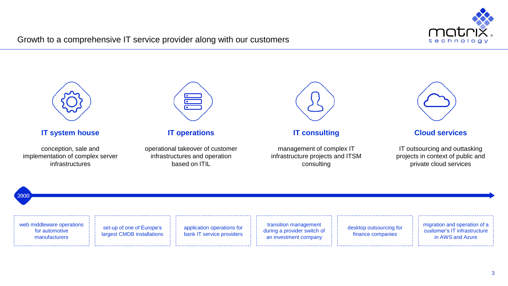

## Growth to a comprehensive IT service provider along with our customers

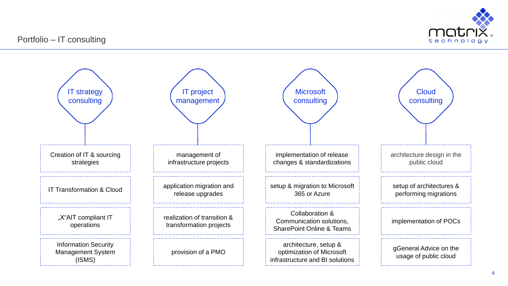

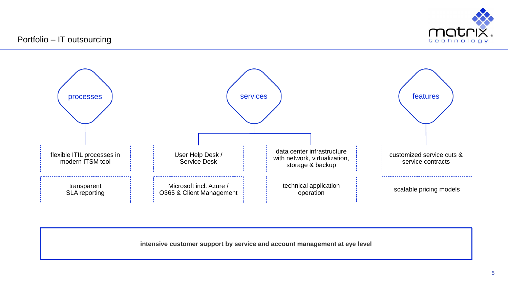



**intensive customer support by service and account management at eye level**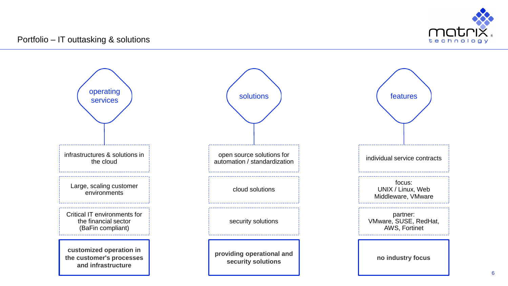

6

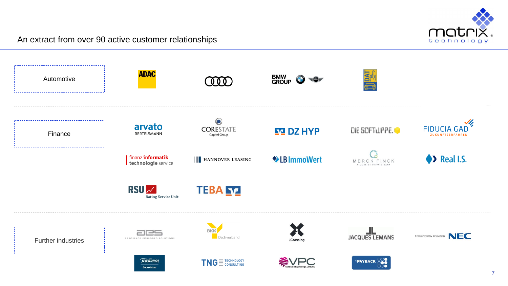

An extract from over 90 active customer relationships

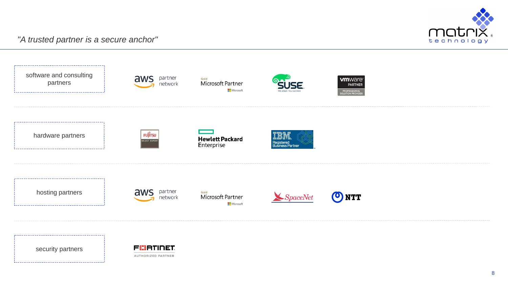



security partners